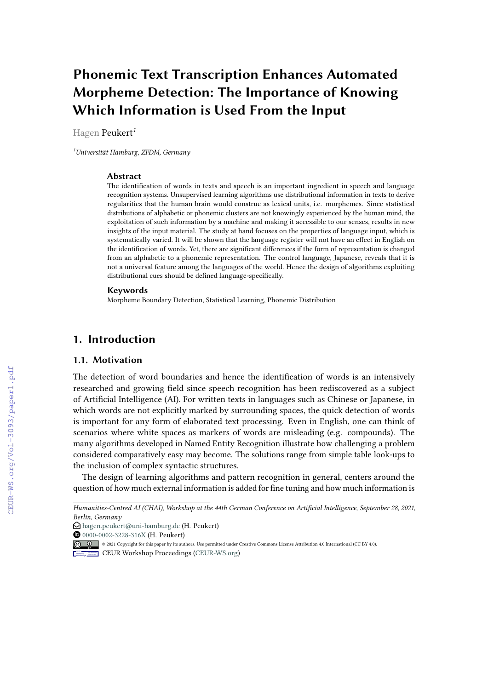# **Phonemic Text Transcription Enhances Automated Morpheme Detection: The Importance of Knowing Which Information is Used From the Input**

Hagen Peukert*<sup>1</sup>*

*<sup>1</sup>Universität Hamburg, ZFDM, Germany*

#### **Abstract**

The identification of words in texts and speech is an important ingredient in speech and language recognition systems. Unsupervised learning algorithms use distributional information in texts to derive regularities that the human brain would construe as lexical units, i.e. morphemes. Since statistical distributions of alphabetic or phonemic clusters are not knowingly experienced by the human mind, the exploitation of such information by a machine and making it accessible to our senses, results in new insights of the input material. The study at hand focuses on the properties of language input, which is systematically varied. It will be shown that the language register will not have an effect in English on the identification of words. Yet, there are significant differences if the form of representation is changed from an alphabetic to a phonemic representation. The control language, Japanese, reveals that it is not a universal feature among the languages of the world. Hence the design of algorithms exploiting distributional cues should be defined language-specifically.

#### **Keywords**

Morpheme Boundary Detection, Statistical Learning, Phonemic Distribution

# **1. Introduction**

#### **1.1. Motivation**

The detection of word boundaries and hence the identification of words is an intensively researched and growing field since speech recognition has been rediscovered as a subject of Artificial Intelligence (AI). For written texts in languages such as Chinese or Japanese, in which words are not explicitly marked by surrounding spaces, the quick detection of words is important for any form of elaborated text processing. Even in English, one can think of scenarios where white spaces as markers of words are misleading (e.g. compounds). The many algorithms developed in Named Entity Recognition illustrate how challenging a problem considered comparatively easy may become. The solutions range from simple table look-ups to the inclusion of complex syntactic structures.

The design of learning algorithms and pattern recognition in general, centers around the question of how much external information is added for fine tuning and how much information is

*Humanities-Centred AI (CHAI), Workshop at the 44th German Conference on Artificial Intelligence, September 28, 2021, Berlin, Germany*

 $\bigcirc$  [hagen.peukert@uni-hamburg.de](mailto:hagen.peukert@uni-hamburg.de) (H. Peukert)

[0000-0002-3228-316X](https://orcid.org/0000-0002-3228-316X) (H. Peukert)

<sup>©</sup> 2021 Copyright for this paper by its authors. Use permitted under Creative Commons License Attribution 4.0 International (CC BY 4.0).

**CEUR Workshop [Proceedings](http://ceur-ws.org) [\(CEUR-WS.org\)](http://ceur-ws.org)**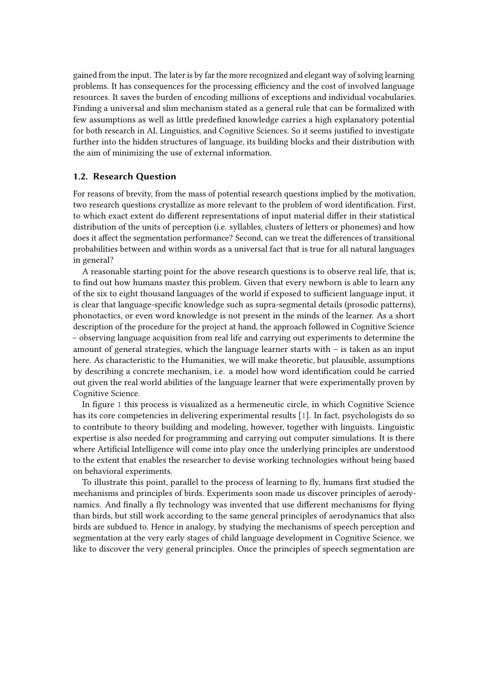gained from the input. The later is by far the more recognized and elegant way of solving learning problems. It has consequences for the processing efficiency and the cost of involved language resources. It saves the burden of encoding millions of exceptions and individual vocabularies. Finding a universal and slim mechanism stated as a general rule that can be formalized with few assumptions as well as little predefined knowledge carries a high explanatory potential for both research in AI, Linguistics, and Cognitive Sciences. So it seems justified to investigate further into the hidden structures of language, its building blocks and their distribution with the aim of minimizing the use of external information.

### **1.2. Research Question**

For reasons of brevity, from the mass of potential research questions implied by the motivation, two research questions crystallize as more relevant to the problem of word identification. First, to which exact extent do different representations of input material differ in their statistical distribution of the units of perception (i.e. syllables, clusters of letters or phonemes) and how does it affect the segmentation performance? Second, can we treat the differences of transitional probabilities between and within words as a universal fact that is true for all natural languages in general?

A reasonable starting point for the above research questions is to observe real life, that is, to find out how humans master this problem. Given that every newborn is able to learn any of the six to eight thousand languages of the world if exposed to sufficient language input, it is clear that language-specific knowledge such as supra-segmental details (prosodic patterns), phonotactics, or even word knowledge is not present in the minds of the learner. As a short description of the procedure for the project at hand, the approach followed in Cognitive Science – observing language acquisition from real life and carrying out experiments to determine the amount of general strategies, which the language learner starts with – is taken as an input here. As characteristic to the Humanities, we will make theoretic, but plausible, assumptions by describing a concrete mechanism, i.e. a model how word identification could be carried out given the real world abilities of the language learner that were experimentally proven by Cognitive Science.

In figure [1](#page-2-0) this process is visualized as a hermeneutic circle, in which Cognitive Science has its core competencies in delivering experimental results [\[1\]](#page-6-0). In fact, psychologists do so to contribute to theory building and modeling, however, together with linguists. Linguistic expertise is also needed for programming and carrying out computer simulations. It is there where Artificial Intelligence will come into play once the underlying principles are understood to the extent that enables the researcher to devise working technologies without being based on behavioral experiments.

To illustrate this point, parallel to the process of learning to fly, humans first studied the mechanisms and principles of birds. Experiments soon made us discover principles of aerodynamics. And finally a fly technology was invented that use different mechanisms for flying than birds, but still work according to the same general principles of aerodynamics that also birds are subdued to. Hence in analogy, by studying the mechanisms of speech perception and segmentation at the very early stages of child language development in Cognitive Science, we like to discover the very general principles. Once the principles of speech segmentation are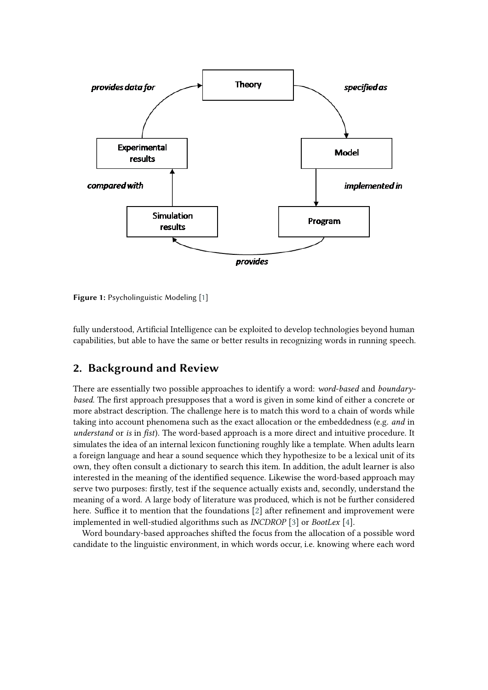

<span id="page-2-0"></span>**Figure 1:** Psycholinguistic Modeling [\[1\]](#page-6-0)

fully understood, Artificial Intelligence can be exploited to develop technologies beyond human capabilities, but able to have the same or better results in recognizing words in running speech.

# **2. Background and Review**

There are essentially two possible approaches to identify a word: *word-based* and *boundarybased*. The first approach presupposes that a word is given in some kind of either a concrete or more abstract description. The challenge here is to match this word to a chain of words while taking into account phenomena such as the exact allocation or the embeddedness (e.g. *and* in *understand* or *is* in *fist*). The word-based approach is a more direct and intuitive procedure. It simulates the idea of an internal lexicon functioning roughly like a template. When adults learn a foreign language and hear a sound sequence which they hypothesize to be a lexical unit of its own, they often consult a dictionary to search this item. In addition, the adult learner is also interested in the meaning of the identified sequence. Likewise the word-based approach may serve two purposes: firstly, test if the sequence actually exists and, secondly, understand the meaning of a word. A large body of literature was produced, which is not be further considered here. Suffice it to mention that the foundations [\[2\]](#page-6-1) after refinement and improvement were implemented in well-studied algorithms such as *INCDROP* [\[3\]](#page-7-0) or *BootLex* [\[4\]](#page-7-1).

Word boundary-based approaches shifted the focus from the allocation of a possible word candidate to the linguistic environment, in which words occur, i.e. knowing where each word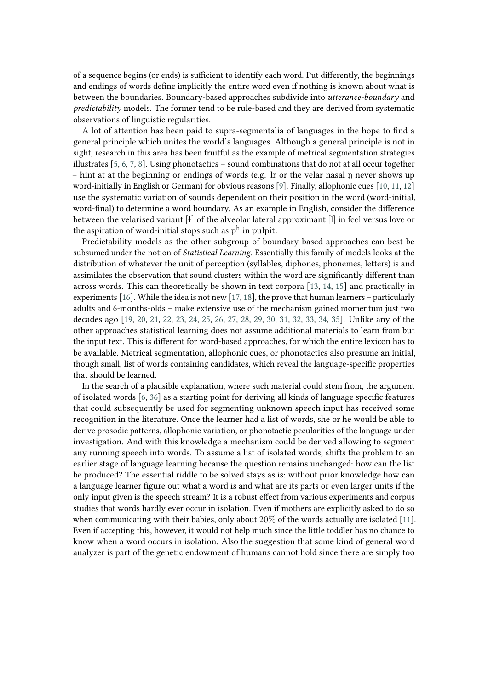of a sequence begins (or ends) is sufficient to identify each word. Put differently, the beginnings and endings of words define implicitly the entire word even if nothing is known about what is between the boundaries. Boundary-based approaches subdivide into *utterance-boundary* and *predictability* models. The former tend to be rule-based and they are derived from systematic observations of linguistic regularities.

A lot of attention has been paid to supra-segmentalia of languages in the hope to find a general principle which unites the world's languages. Although a general principle is not in sight, research in this area has been fruitful as the example of metrical segmentation strategies illustrates  $[5, 6, 7, 8]$  $[5, 6, 7, 8]$  $[5, 6, 7, 8]$  $[5, 6, 7, 8]$  $[5, 6, 7, 8]$  $[5, 6, 7, 8]$  $[5, 6, 7, 8]$ . Using phonotactics – sound combinations that do not at all occur together  $-$  hint at at the beginning or endings of words (e.g. Ir or the velar nasal  $\eta$  never shows up word-initially in English or German) for obvious reasons [\[9\]](#page-7-6). Finally, allophonic cues [\[10,](#page-7-7) [11,](#page-7-8) [12\]](#page-7-9) use the systematic variation of sounds dependent on their position in the word (word-initial, word-final) to determine a word boundary. As an example in English, consider the difference between the velarised variant [ì] of the alveolar lateral approximant [l] in feel versus love or the aspiration of word-initial stops such as  $\mathrm{p}^{\mathrm{h}}$  in pulpit.

Predictability models as the other subgroup of boundary-based approaches can best be subsumed under the notion of *Statistical Learning*. Essentially this family of models looks at the distribution of whatever the unit of perception (syllables, diphones, phonemes, letters) is and assimilates the observation that sound clusters within the word are significantly different than across words. This can theoretically be shown in text corpora [\[13,](#page-7-10) [14,](#page-7-11) [15\]](#page-7-12) and practically in experiments [\[16\]](#page-7-13). While the idea is not new [\[17,](#page-7-14) [18\]](#page-7-15), the prove that human learners – particularly adults and 6-months-olds – make extensive use of the mechanism gained momentum just two decades ago [\[19,](#page-7-16) [20,](#page-7-17) [21,](#page-7-18) [22,](#page-7-19) [23,](#page-7-20) [24,](#page-8-0) [25,](#page-8-1) [26,](#page-8-2) [27,](#page-8-3) [28,](#page-8-4) [29,](#page-8-5) [30,](#page-8-6) [31,](#page-8-7) [32,](#page-8-8) [33,](#page-8-9) [34,](#page-8-10) [35\]](#page-8-11). Unlike any of the other approaches statistical learning does not assume additional materials to learn from but the input text. This is different for word-based approaches, for which the entire lexicon has to be available. Metrical segmentation, allophonic cues, or phonotactics also presume an initial, though small, list of words containing candidates, which reveal the language-specific properties that should be learned.

In the search of a plausible explanation, where such material could stem from, the argument of isolated words [\[6,](#page-7-3) [36\]](#page-8-12) as a starting point for deriving all kinds of language specific features that could subsequently be used for segmenting unknown speech input has received some recognition in the literature. Once the learner had a list of words, she or he would be able to derive prosodic patterns, allophonic variation, or phonotactic pecularities of the language under investigation. And with this knowledge a mechanism could be derived allowing to segment any running speech into words. To assume a list of isolated words, shifts the problem to an earlier stage of language learning because the question remains unchanged: how can the list be produced? The essential riddle to be solved stays as is: without prior knowledge how can a language learner figure out what a word is and what are its parts or even larger units if the only input given is the speech stream? It is a robust effect from various experiments and corpus studies that words hardly ever occur in isolation. Even if mothers are explicitly asked to do so when communicating with their babies, only about 20% of the words actually are isolated [\[11\]](#page-7-8). Even if accepting this, however, it would not help much since the little toddler has no chance to know when a word occurs in isolation. Also the suggestion that some kind of general word analyzer is part of the genetic endowment of humans cannot hold since there are simply too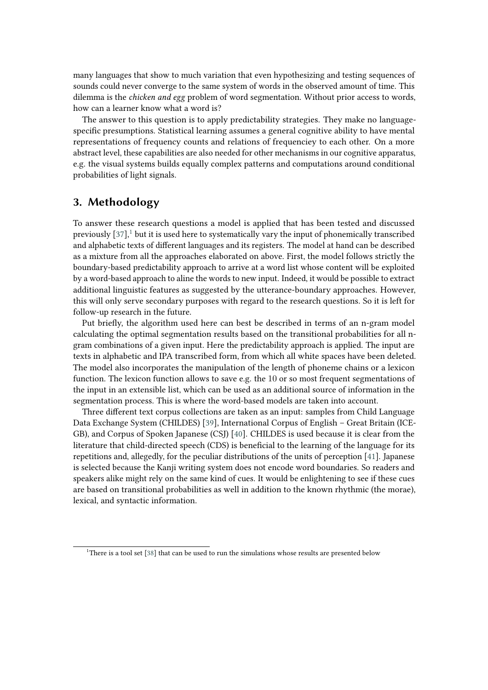many languages that show to much variation that even hypothesizing and testing sequences of sounds could never converge to the same system of words in the observed amount of time. This dilemma is the *chicken and egg* problem of word segmentation. Without prior access to words, how can a learner know what a word is?

The answer to this question is to apply predictability strategies. They make no languagespecific presumptions. Statistical learning assumes a general cognitive ability to have mental representations of frequency counts and relations of frequenciey to each other. On a more abstract level, these capabilities are also needed for other mechanisms in our cognitive apparatus, e.g. the visual systems builds equally complex patterns and computations around conditional probabilities of light signals.

### **3. Methodology**

To answer these research questions a model is applied that has been tested and discussed previously  $[37]$ ,<sup>[1](#page-4-0)</sup> but it is used here to systematically vary the input of phonemically transcribed and alphabetic texts of different languages and its registers. The model at hand can be described as a mixture from all the approaches elaborated on above. First, the model follows strictly the boundary-based predictability approach to arrive at a word list whose content will be exploited by a word-based approach to aline the words to new input. Indeed, it would be possible to extract additional linguistic features as suggested by the utterance-boundary approaches. However, this will only serve secondary purposes with regard to the research questions. So it is left for follow-up research in the future.

Put briefly, the algorithm used here can best be described in terms of an n-gram model calculating the optimal segmentation results based on the transitional probabilities for all ngram combinations of a given input. Here the predictability approach is applied. The input are texts in alphabetic and IPA transcribed form, from which all white spaces have been deleted. The model also incorporates the manipulation of the length of phoneme chains or a lexicon function. The lexicon function allows to save e.g. the 10 or so most frequent segmentations of the input in an extensible list, which can be used as an additional source of information in the segmentation process. This is where the word-based models are taken into account.

Three different text corpus collections are taken as an input: samples from Child Language Data Exchange System (CHILDES) [\[39\]](#page-8-14), International Corpus of English – Great Britain (ICE-GB), and Corpus of Spoken Japanese (CSJ) [\[40\]](#page-8-15). CHILDES is used because it is clear from the literature that child-directed speech (CDS) is beneficial to the learning of the language for its repetitions and, allegedly, for the peculiar distributions of the units of perception [\[41\]](#page-8-16). Japanese is selected because the Kanji writing system does not encode word boundaries. So readers and speakers alike might rely on the same kind of cues. It would be enlightening to see if these cues are based on transitional probabilities as well in addition to the known rhythmic (the morae), lexical, and syntactic information.

<span id="page-4-0"></span><sup>&</sup>lt;sup>1</sup>There is a tool set [\[38\]](#page-8-17) that can be used to run the simulations whose results are presented below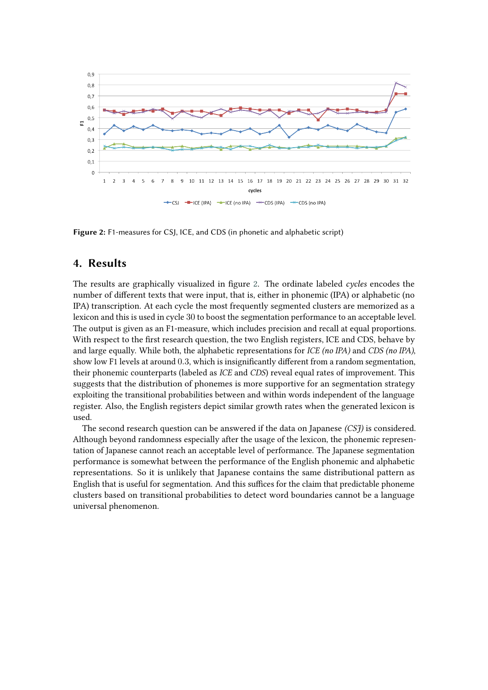

<span id="page-5-0"></span>**Figure 2:** F1-measures for CSJ, ICE, and CDS (in phonetic and alphabetic script)

### **4. Results**

The results are graphically visualized in figure [2.](#page-5-0) The ordinate labeled *cycles* encodes the number of different texts that were input, that is, either in phonemic (IPA) or alphabetic (no IPA) transcription. At each cycle the most frequently segmented clusters are memorized as a lexicon and this is used in cycle 30 to boost the segmentation performance to an acceptable level. The output is given as an F1-measure, which includes precision and recall at equal proportions. With respect to the first research question, the two English registers, ICE and CDS, behave by and large equally. While both, the alphabetic representations for *ICE (no IPA)* and *CDS (no IPA)*, show low F1 levels at around 0.3, which is insignificantly different from a random segmentation, their phonemic counterparts (labeled as *ICE* and *CDS*) reveal equal rates of improvement. This suggests that the distribution of phonemes is more supportive for an segmentation strategy exploiting the transitional probabilities between and within words independent of the language register. Also, the English registers depict similar growth rates when the generated lexicon is used.

The second research question can be answered if the data on Japanese *(CSJ)* is considered. Although beyond randomness especially after the usage of the lexicon, the phonemic representation of Japanese cannot reach an acceptable level of performance. The Japanese segmentation performance is somewhat between the performance of the English phonemic and alphabetic representations. So it is unlikely that Japanese contains the same distributional pattern as English that is useful for segmentation. And this suffices for the claim that predictable phoneme clusters based on transitional probabilities to detect word boundaries cannot be a language universal phenomenon.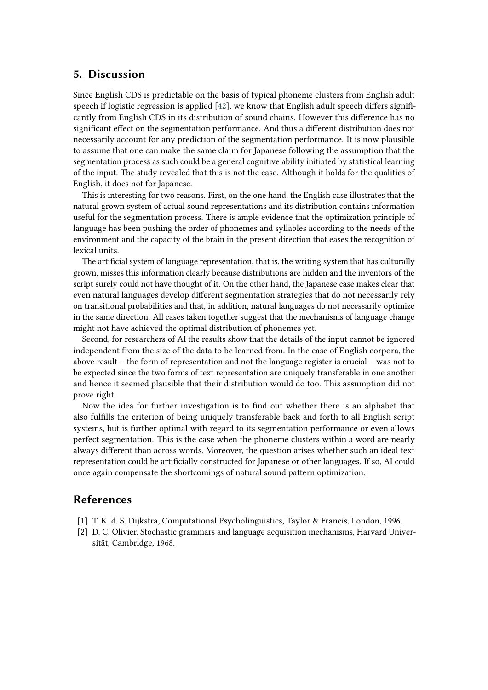### **5. Discussion**

Since English CDS is predictable on the basis of typical phoneme clusters from English adult speech if logistic regression is applied [\[42\]](#page-8-18), we know that English adult speech differs significantly from English CDS in its distribution of sound chains. However this difference has no significant effect on the segmentation performance. And thus a different distribution does not necessarily account for any prediction of the segmentation performance. It is now plausible to assume that one can make the same claim for Japanese following the assumption that the segmentation process as such could be a general cognitive ability initiated by statistical learning of the input. The study revealed that this is not the case. Although it holds for the qualities of English, it does not for Japanese.

This is interesting for two reasons. First, on the one hand, the English case illustrates that the natural grown system of actual sound representations and its distribution contains information useful for the segmentation process. There is ample evidence that the optimization principle of language has been pushing the order of phonemes and syllables according to the needs of the environment and the capacity of the brain in the present direction that eases the recognition of lexical units.

The artificial system of language representation, that is, the writing system that has culturally grown, misses this information clearly because distributions are hidden and the inventors of the script surely could not have thought of it. On the other hand, the Japanese case makes clear that even natural languages develop different segmentation strategies that do not necessarily rely on transitional probabilities and that, in addition, natural languages do not necessarily optimize in the same direction. All cases taken together suggest that the mechanisms of language change might not have achieved the optimal distribution of phonemes yet.

Second, for researchers of AI the results show that the details of the input cannot be ignored independent from the size of the data to be learned from. In the case of English corpora, the above result – the form of representation and not the language register is crucial – was not to be expected since the two forms of text representation are uniquely transferable in one another and hence it seemed plausible that their distribution would do too. This assumption did not prove right.

Now the idea for further investigation is to find out whether there is an alphabet that also fulfills the criterion of being uniquely transferable back and forth to all English script systems, but is further optimal with regard to its segmentation performance or even allows perfect segmentation. This is the case when the phoneme clusters within a word are nearly always different than across words. Moreover, the question arises whether such an ideal text representation could be artificially constructed for Japanese or other languages. If so, AI could once again compensate the shortcomings of natural sound pattern optimization.

# **References**

- <span id="page-6-0"></span>[1] T. K. d. S. Dijkstra, Computational Psycholinguistics, Taylor & Francis, London, 1996.
- <span id="page-6-1"></span>[2] D. C. Olivier, Stochastic grammars and language acquisition mechanisms, Harvard Universität, Cambridge, 1968.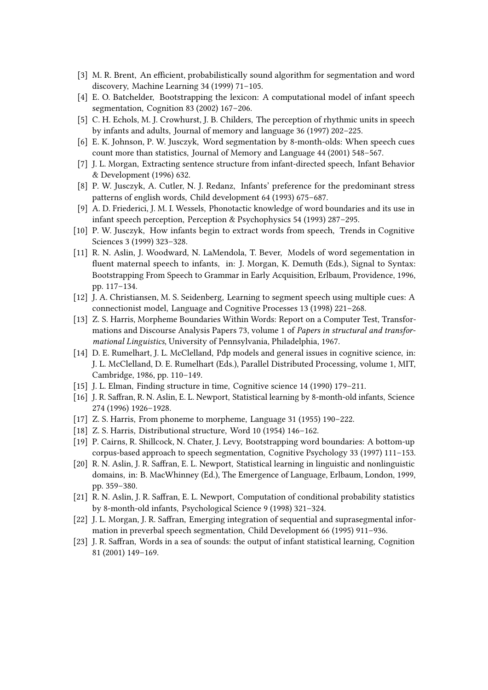- <span id="page-7-0"></span>[3] M. R. Brent, An efficient, probabilistically sound algorithm for segmentation and word discovery, Machine Learning 34 (1999) 71–105.
- <span id="page-7-1"></span>[4] E. O. Batchelder, Bootstrapping the lexicon: A computational model of infant speech segmentation, Cognition 83 (2002) 167–206.
- <span id="page-7-2"></span>[5] C. H. Echols, M. J. Crowhurst, J. B. Childers, The perception of rhythmic units in speech by infants and adults, Journal of memory and language 36 (1997) 202–225.
- <span id="page-7-3"></span>[6] E. K. Johnson, P. W. Jusczyk, Word segmentation by 8-month-olds: When speech cues count more than statistics, Journal of Memory and Language 44 (2001) 548–567.
- <span id="page-7-4"></span>[7] J. L. Morgan, Extracting sentence structure from infant-directed speech, Infant Behavior & Development (1996) 632.
- <span id="page-7-5"></span>[8] P. W. Jusczyk, A. Cutler, N. J. Redanz, Infants' preference for the predominant stress patterns of english words, Child development 64 (1993) 675–687.
- <span id="page-7-6"></span>[9] A. D. Friederici, J. M. I. Wessels, Phonotactic knowledge of word boundaries and its use in infant speech perception, Perception & Psychophysics 54 (1993) 287–295.
- <span id="page-7-7"></span>[10] P. W. Jusczyk, How infants begin to extract words from speech, Trends in Cognitive Sciences 3 (1999) 323–328.
- <span id="page-7-8"></span>[11] R. N. Aslin, J. Woodward, N. LaMendola, T. Bever, Models of word segementation in fluent maternal speech to infants, in: J. Morgan, K. Demuth (Eds.), Signal to Syntax: Bootstrapping From Speech to Grammar in Early Acquisition, Erlbaum, Providence, 1996, pp. 117–134.
- <span id="page-7-9"></span>[12] J. A. Christiansen, M. S. Seidenberg, Learning to segment speech using multiple cues: A connectionist model, Language and Cognitive Processes 13 (1998) 221–268.
- <span id="page-7-10"></span>[13] Z. S. Harris, Morpheme Boundaries Within Words: Report on a Computer Test, Transformations and Discourse Analysis Papers 73, volume 1 of *Papers in structural and transformational Linguistics*, University of Pennsylvania, Philadelphia, 1967.
- <span id="page-7-11"></span>[14] D. E. Rumelhart, J. L. McClelland, Pdp models and general issues in cognitive science, in: J. L. McClelland, D. E. Rumelhart (Eds.), Parallel Distributed Processing, volume 1, MIT, Cambridge, 1986, pp. 110–149.
- <span id="page-7-12"></span>[15] J. L. Elman, Finding structure in time, Cognitive science 14 (1990) 179-211.
- <span id="page-7-13"></span>[16] J. R. Saffran, R. N. Aslin, E. L. Newport, Statistical learning by 8-month-old infants, Science 274 (1996) 1926–1928.
- <span id="page-7-14"></span>[17] Z. S. Harris, From phoneme to morpheme, Language 31 (1955) 190-222.
- <span id="page-7-15"></span>[18] Z. S. Harris, Distributional structure, Word 10 (1954) 146–162.
- <span id="page-7-16"></span>[19] P. Cairns, R. Shillcock, N. Chater, J. Levy, Bootstrapping word boundaries: A bottom-up corpus-based approach to speech segmentation, Cognitive Psychology 33 (1997) 111–153.
- <span id="page-7-17"></span>[20] R. N. Aslin, J. R. Saffran, E. L. Newport, Statistical learning in linguistic and nonlinguistic domains, in: B. MacWhinney (Ed.), The Emergence of Language, Erlbaum, London, 1999, pp. 359–380.
- <span id="page-7-18"></span>[21] R. N. Aslin, J. R. Saffran, E. L. Newport, Computation of conditional probability statistics by 8-month-old infants, Psychological Science 9 (1998) 321–324.
- <span id="page-7-19"></span>[22] J. L. Morgan, J. R. Saffran, Emerging integration of sequential and suprasegmental information in preverbal speech segmentation, Child Development 66 (1995) 911–936.
- <span id="page-7-20"></span>[23] J. R. Saffran, Words in a sea of sounds: the output of infant statistical learning, Cognition 81 (2001) 149–169.